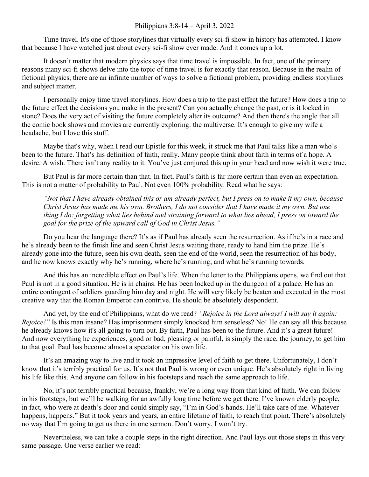## Philippians 3:8-14 – April 3, 2022

Time travel. It's one of those storylines that virtually every sci-fi show in history has attempted. I know that because I have watched just about every sci-fi show ever made. And it comes up a lot.

It doesn't matter that modern physics says that time travel is impossible. In fact, one of the primary reasons many sci-fi shows delve into the topic of time travel is for exactly that reason. Because in the realm of fictional physics, there are an infinite number of ways to solve a fictional problem, providing endless storylines and subject matter.

I personally enjoy time travel storylines. How does a trip to the past effect the future? How does a trip to the future effect the decisions you make in the present? Can you actually change the past, or is it locked in stone? Does the very act of visiting the future completely alter its outcome? And then there's the angle that all the comic book shows and movies are currently exploring: the multiverse. It's enough to give my wife a headache, but I love this stuff.

Maybe that's why, when I read our Epistle for this week, it struck me that Paul talks like a man who's been to the future. That's his definition of faith, really. Many people think about faith in terms of a hope. A desire. A wish. There isn't any reality to it. You've just conjured this up in your head and now wish it were true.

But Paul is far more certain than that. In fact, Paul's faith is far more certain than even an expectation. This is not a matter of probability to Paul. Not even 100% probability. Read what he says:

*"Not that I have already obtained this or am already perfect, but I press on to make it my own, because Christ Jesus has made me his own. Brothers, I do not consider that I have made it my own. But one thing I do: forgetting what lies behind and straining forward to what lies ahead, I press on toward the goal for the prize of the upward call of God in Christ Jesus."*

Do you hear the language there? It's as if Paul has already seen the resurrection. As if he's in a race and he's already been to the finish line and seen Christ Jesus waiting there, ready to hand him the prize. He's already gone into the future, seen his own death, seen the end of the world, seen the resurrection of his body, and he now knows exactly why he's running, where he's running, and what he's running towards.

And this has an incredible effect on Paul's life. When the letter to the Philippians opens, we find out that Paul is not in a good situation. He is in chains. He has been locked up in the dungeon of a palace. He has an entire contingent of soldiers guarding him day and night. He will very likely be beaten and executed in the most creative way that the Roman Emperor can contrive. He should be absolutely despondent.

And yet, by the end of Philippians, what do we read? *"Rejoice in the Lord always! I will say it again: Rejoice!"* Is this man insane? Has imprisonment simply knocked him senseless? No! He can say all this because he already knows how it's all going to turn out. By faith, Paul has been to the future. And it's a great future! And now everything he experiences, good or bad, pleasing or painful, is simply the race, the journey, to get him to that goal. Paul has become almost a spectator on his own life.

It's an amazing way to live and it took an impressive level of faith to get there. Unfortunately, I don't know that it's terribly practical for us. It's not that Paul is wrong or even unique. He's absolutely right in living his life like this. And anyone can follow in his footsteps and reach the same approach to life.

No, it's not terribly practical because, frankly, we're a long way from that kind of faith. We can follow in his footsteps, but we'll be walking for an awfully long time before we get there. I've known elderly people, in fact, who were at death's door and could simply say, "I'm in God's hands. He'll take care of me. Whatever happens, happens." But it took years and years, an entire lifetime of faith, to reach that point. There's absolutely no way that I'm going to get us there in one sermon. Don't worry. I won't try.

Nevertheless, we can take a couple steps in the right direction. And Paul lays out those steps in this very same passage. One verse earlier we read: